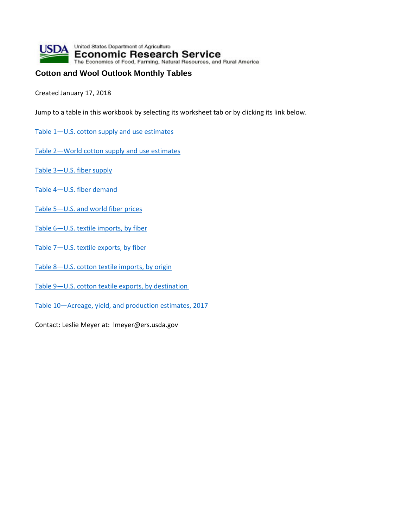

## **Cotton and Wool Outlook Monthly Tables**

Created January 17, 2018

Jump to a table in this workbook by selecting its worksheet tab or by clicking its link below.

- [Table 1—U.S. cotton supply and use estimates](#page-1-0)
- [Table 2—World cotton supply and use estimates](#page-2-0)
- [Table 3—U.S. fiber supply](#page-3-0)
- [Table 4—U.S. fiber demand](#page-4-0)
- [Table 5—U.S. and world fiber prices](#page-5-0)
- Table 6-U.S. textile imports, by fiber
- [Table 7—U.S. textile exports, by fiber](#page-7-0)
- [Table 8—U.S. cotton textile imports, by origin](#page-8-0)
- [Table 9—U.S. cotton textile exports, by destination](#page-9-0)
- [Table 10—Acreage, yield, and production estimates, 2017](#page-10-0)

Contact: Leslie Meyer at: lmeyer@ers.usda.gov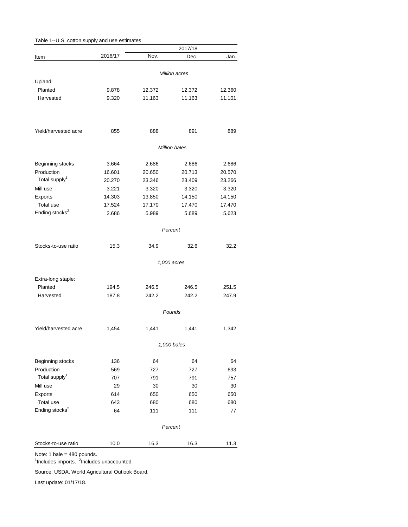<span id="page-1-0"></span>

|                            |             |        | 2017/18              |        |  |
|----------------------------|-------------|--------|----------------------|--------|--|
| Item                       | 2016/17     | Nov.   | Dec.                 | Jan.   |  |
|                            |             |        | <b>Million acres</b> |        |  |
| Upland:                    |             |        |                      |        |  |
| Planted                    | 9.878       | 12.372 | 12.372               | 12.360 |  |
| Harvested                  | 9.320       | 11.163 | 11.163               | 11.101 |  |
| Yield/harvested acre       | 855         | 888    | 891                  | 889    |  |
|                            |             |        | <b>Million bales</b> |        |  |
| Beginning stocks           | 3.664       | 2.686  | 2.686                | 2.686  |  |
| Production                 | 16.601      | 20.650 | 20.713               | 20.570 |  |
| Total supply <sup>1</sup>  | 20.270      | 23.346 | 23.409               | 23.266 |  |
| Mill use                   | 3.221       | 3.320  | 3.320                | 3.320  |  |
| Exports                    | 14.303      | 13.850 | 14.150               | 14.150 |  |
| Total use                  | 17.524      | 17.170 | 17.470               | 17.470 |  |
| Ending stocks <sup>2</sup> | 2.686       | 5.989  | 5.689                | 5.623  |  |
|                            |             |        | Percent              |        |  |
| Stocks-to-use ratio        | 15.3        | 34.9   | 32.6                 | 32.2   |  |
|                            |             |        | 1,000 acres          |        |  |
| Extra-long staple:         |             |        |                      |        |  |
| Planted                    | 194.5       | 246.5  | 246.5                | 251.5  |  |
| Harvested                  | 187.8       | 242.2  | 242.2                | 247.9  |  |
|                            |             |        | Pounds               |        |  |
| Yield/harvested acre       | 1,454       | 1,441  | 1,441                | 1,342  |  |
|                            | 1,000 bales |        |                      |        |  |
| Beginning stocks           | 136         | 64     | 64                   | 64     |  |
| Production                 | 569         | 727    | 727                  | 693    |  |
| Total supply <sup>1</sup>  | 707         | 791    | 791                  | 757    |  |
| Mill use                   | 29          | 30     | 30                   | 30     |  |
| Exports                    | 614         | 650    | 650                  | 650    |  |
| Total use                  | 643         | 680    | 680                  | 680    |  |
| Ending stocks <sup>2</sup> | 64          | 111    | 111                  | 77     |  |
|                            |             |        | Percent              |        |  |
| Stocks-to-use ratio        | 10.0        | 16.3   | 16.3                 | 11.3   |  |

Note: 1 bale =  $480$  pounds.

<sup>1</sup>Includes imports. <sup>2</sup>Includes unaccounted.

Source: USDA, World Agricultural Outlook Board.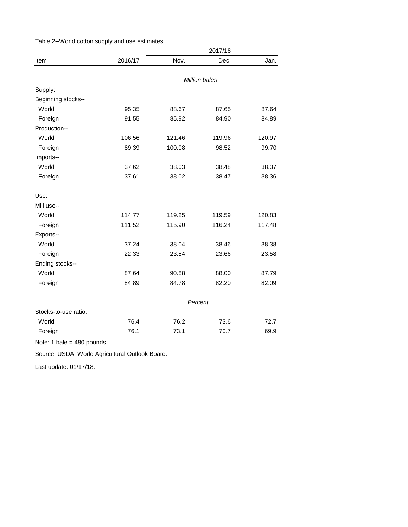<span id="page-2-0"></span>

| Table 2--World cotton supply and use estimates |  |
|------------------------------------------------|--|
|------------------------------------------------|--|

|                      |         | 2017/18 |                      |        |  |
|----------------------|---------|---------|----------------------|--------|--|
| Item                 | 2016/17 | Nov.    | Dec.                 | Jan.   |  |
|                      |         |         |                      |        |  |
|                      |         |         | <b>Million bales</b> |        |  |
| Supply:              |         |         |                      |        |  |
| Beginning stocks--   |         |         |                      |        |  |
| World                | 95.35   | 88.67   | 87.65                | 87.64  |  |
| Foreign              | 91.55   | 85.92   | 84.90                | 84.89  |  |
| Production--         |         |         |                      |        |  |
| World                | 106.56  | 121.46  | 119.96               | 120.97 |  |
| Foreign              | 89.39   | 100.08  | 98.52                | 99.70  |  |
| Imports--            |         |         |                      |        |  |
| World                | 37.62   | 38.03   | 38.48                | 38.37  |  |
| Foreign              | 37.61   | 38.02   | 38.47                | 38.36  |  |
| Use:                 |         |         |                      |        |  |
| Mill use--           |         |         |                      |        |  |
| World                | 114.77  | 119.25  | 119.59               | 120.83 |  |
| Foreign              | 111.52  | 115.90  | 116.24               | 117.48 |  |
| Exports--            |         |         |                      |        |  |
| World                | 37.24   | 38.04   | 38.46                | 38.38  |  |
| Foreign              | 22.33   | 23.54   | 23.66                | 23.58  |  |
| Ending stocks--      |         |         |                      |        |  |
| World                | 87.64   | 90.88   | 88.00                | 87.79  |  |
| Foreign              | 84.89   | 84.78   | 82.20                | 82.09  |  |
|                      |         | Percent |                      |        |  |
| Stocks-to-use ratio: |         |         |                      |        |  |
| World                | 76.4    | 76.2    | 73.6                 | 72.7   |  |
| Foreign              | 76.1    | 73.1    | 70.7                 | 69.9   |  |

Note: 1 bale = 480 pounds.

Source: USDA, World Agricultural Outlook Board.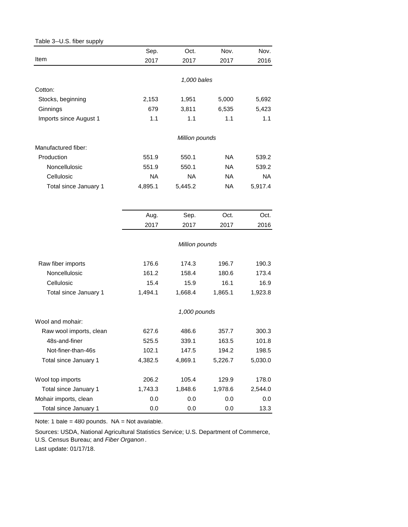## <span id="page-3-0"></span>Table 3--U.S. fiber supply

|                         | Sep.      | Oct.           | Nov.      | Nov.      |
|-------------------------|-----------|----------------|-----------|-----------|
| Item                    | 2017      | 2017           | 2017      | 2016      |
|                         |           |                |           |           |
|                         |           | 1,000 bales    |           |           |
| Cotton:                 |           |                |           |           |
| Stocks, beginning       | 2,153     | 1,951          | 5,000     | 5,692     |
| Ginnings                | 679       | 3,811          | 6,535     | 5,423     |
| Imports since August 1  | 1.1       | 1.1            | 1.1       | 1.1       |
|                         |           | Million pounds |           |           |
| Manufactured fiber:     |           |                |           |           |
| Production              | 551.9     | 550.1          | <b>NA</b> | 539.2     |
| Noncellulosic           | 551.9     | 550.1          | NA.       | 539.2     |
| Cellulosic              | <b>NA</b> | <b>NA</b>      | NA.       | <b>NA</b> |
| Total since January 1   | 4,895.1   | 5,445.2        | <b>NA</b> | 5,917.4   |
|                         |           |                |           |           |
|                         | Aug.      | Sep.           | Oct.      | Oct.      |
|                         | 2017      | 2017           | 2017      | 2016      |
|                         |           | Million pounds |           |           |
|                         |           |                |           |           |
| Raw fiber imports       | 176.6     | 174.3          | 196.7     | 190.3     |
| Noncellulosic           | 161.2     | 158.4          | 180.6     | 173.4     |
| Cellulosic              | 15.4      | 15.9           | 16.1      | 16.9      |
| Total since January 1   | 1,494.1   | 1,668.4        | 1,865.1   | 1,923.8   |
|                         |           | 1,000 pounds   |           |           |
| Wool and mohair:        |           |                |           |           |
| Raw wool imports, clean | 627.6     | 486.6          | 357.7     | 300.3     |
| 48s-and-finer           | 525.5     | 339.1          | 163.5     | 101.8     |
| Not-finer-than-46s      | 102.1     | 147.5          | 194.2     | 198.5     |
| Total since January 1   | 4,382.5   | 4,869.1        | 5,226.7   | 5,030.0   |
| Wool top imports        | 206.2     | 105.4          | 129.9     | 178.0     |
| Total since January 1   | 1,743.3   | 1,848.6        | 1,978.6   | 2,544.0   |
| Mohair imports, clean   | 0.0       | 0.0            | 0.0       | 0.0       |
| Total since January 1   | 0.0       | 0.0            | 0.0       | 13.3      |

Note: 1 bale =  $480$  pounds. NA = Not available.

Sources: USDA, National Agricultural Statistics Service; U.S. Department of Commerce, U.S. Census Bureau; and *Fiber Organon* .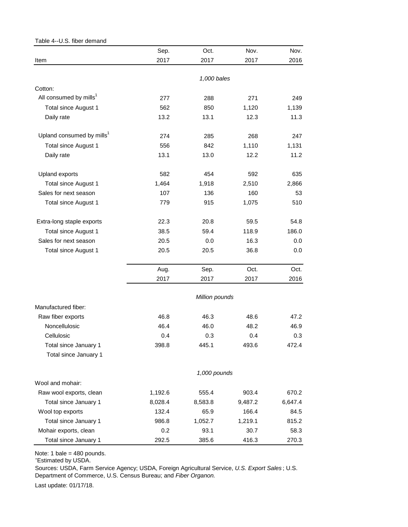## <span id="page-4-0"></span>Table 4--U.S. fiber demand

|                                       | Sep.    | Oct.           | Nov.    | Nov.    |
|---------------------------------------|---------|----------------|---------|---------|
| Item                                  | 2017    | 2017           | 2017    | 2016    |
|                                       |         |                |         |         |
|                                       |         | 1,000 bales    |         |         |
| Cotton:                               |         |                |         |         |
| All consumed by mills <sup>1</sup>    | 277     | 288            | 271     | 249     |
| Total since August 1                  | 562     | 850            | 1,120   | 1,139   |
| Daily rate                            | 13.2    | 13.1           | 12.3    | 11.3    |
| Upland consumed by mills <sup>1</sup> | 274     | 285            | 268     | 247     |
| Total since August 1                  | 556     | 842            | 1,110   | 1,131   |
| Daily rate                            | 13.1    | 13.0           | 12.2    | 11.2    |
| Upland exports                        | 582     | 454            | 592     | 635     |
| <b>Total since August 1</b>           | 1,464   | 1,918          | 2,510   | 2,866   |
| Sales for next season                 | 107     | 136            | 160     | 53      |
| Total since August 1                  | 779     | 915            | 1,075   | 510     |
| Extra-long staple exports             | 22.3    | 20.8           | 59.5    | 54.8    |
| Total since August 1                  | 38.5    | 59.4           | 118.9   | 186.0   |
| Sales for next season                 | 20.5    | 0.0            | 16.3    | 0.0     |
| Total since August 1                  | 20.5    | 20.5           | 36.8    | 0.0     |
|                                       | Aug.    | Sep.           | Oct.    | Oct.    |
|                                       | 2017    | 2017           | 2017    | 2016    |
|                                       |         |                |         |         |
| Manufactured fiber:                   |         | Million pounds |         |         |
| Raw fiber exports                     | 46.8    | 46.3           | 48.6    | 47.2    |
| Noncellulosic                         | 46.4    | 46.0           | 48.2    | 46.9    |
| Cellulosic                            | 0.4     | 0.3            | 0.4     | 0.3     |
| Total since January 1                 | 398.8   | 445.1          | 493.6   | 472.4   |
| Total since January 1                 |         |                |         |         |
|                                       |         | 1,000 pounds   |         |         |
| Wool and mohair:                      |         |                |         |         |
| Raw wool exports, clean               | 1,192.6 | 555.4          | 903.4   | 670.2   |
| Total since January 1                 | 8,028.4 | 8,583.8        | 9,487.2 | 6,647.4 |
| Wool top exports                      | 132.4   | 65.9           | 166.4   | 84.5    |
| Total since January 1                 | 986.8   | 1,052.7        | 1,219.1 | 815.2   |
| Mohair exports, clean                 | 0.2     | 93.1           | 30.7    | 58.3    |
| Total since January 1                 | 292.5   | 385.6          | 416.3   | 270.3   |

Note: 1 bale = 480 pounds. 1 Estimated by USDA.

Sources: USDA, Farm Service Agency; USDA, Foreign Agricultural Service, *U.S. Export Sales* ; U.S. Department of Commerce, U.S. Census Bureau; and *Fiber Organon.*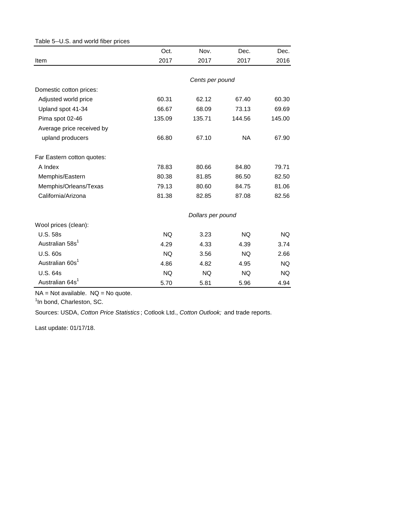<span id="page-5-0"></span>

| Table 5--U.S. and world fiber prices |           |                   |           |        |
|--------------------------------------|-----------|-------------------|-----------|--------|
|                                      | Oct.      | Nov.              | Dec.      | Dec.   |
| Item                                 | 2017      | 2017              | 2017      | 2016   |
|                                      |           |                   |           |        |
|                                      |           | Cents per pound   |           |        |
| Domestic cotton prices:              |           |                   |           |        |
| Adjusted world price                 | 60.31     | 62.12             | 67.40     | 60.30  |
| Upland spot 41-34                    | 66.67     | 68.09             | 73.13     | 69.69  |
| Pima spot 02-46                      | 135.09    | 135.71            | 144.56    | 145.00 |
| Average price received by            |           |                   |           |        |
| upland producers                     | 66.80     | 67.10             | <b>NA</b> | 67.90  |
| Far Eastern cotton quotes:           |           |                   |           |        |
| A Index                              | 78.83     | 80.66             | 84.80     | 79.71  |
| Memphis/Eastern                      | 80.38     | 81.85             | 86.50     | 82.50  |
| Memphis/Orleans/Texas                | 79.13     | 80.60             | 84.75     | 81.06  |
| California/Arizona                   | 81.38     | 82.85             | 87.08     | 82.56  |
|                                      |           | Dollars per pound |           |        |
| Wool prices (clean):                 |           |                   |           |        |
| <b>U.S. 58s</b>                      | <b>NQ</b> | 3.23              | <b>NQ</b> | NQ.    |
| Australian 58s <sup>1</sup>          | 4.29      | 4.33              | 4.39      | 3.74   |
| <b>U.S. 60s</b>                      | <b>NQ</b> | 3.56              | <b>NQ</b> | 2.66   |
| Australian 60s <sup>1</sup>          | 4.86      | 4.82              | 4.95      | NQ     |
| <b>U.S. 64s</b>                      | <b>NQ</b> | <b>NQ</b>         | NQ.       | NQ.    |
| Australian 64s <sup>1</sup>          | 5.70      | 5.81              | 5.96      | 4.94   |

 $NA = Not available.$   $NQ = No$  quote.

<sup>1</sup>In bond, Charleston, SC.

Sources: USDA, *Cotton Price Statistics* ; Cotlook Ltd., *Cotton Outlook;* and trade reports.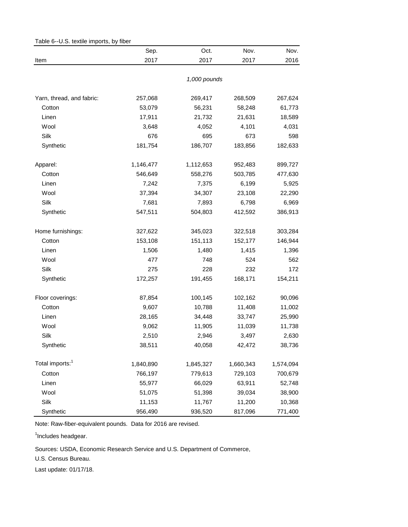|                             | Sep.      | Oct.         | Nov.      | Nov.      |
|-----------------------------|-----------|--------------|-----------|-----------|
| Item                        | 2017      | 2017         | 2017      | 2016      |
|                             |           | 1,000 pounds |           |           |
|                             |           |              |           |           |
| Yarn, thread, and fabric:   | 257,068   | 269,417      | 268,509   | 267,624   |
| Cotton                      | 53,079    | 56,231       | 58,248    | 61,773    |
| Linen                       | 17,911    | 21,732       | 21,631    | 18,589    |
| Wool                        | 3,648     | 4,052        | 4,101     | 4,031     |
| Silk                        | 676       | 695          | 673       | 598       |
| Synthetic                   | 181,754   | 186,707      | 183,856   | 182,633   |
| Apparel:                    | 1,146,477 | 1,112,653    | 952,483   | 899,727   |
| Cotton                      | 546,649   | 558,276      | 503,785   | 477,630   |
| Linen                       | 7,242     | 7,375        | 6,199     | 5,925     |
| Wool                        | 37,394    | 34,307       | 23,108    | 22,290    |
| Silk                        | 7,681     | 7,893        | 6,798     | 6,969     |
| Synthetic                   | 547,511   | 504,803      | 412,592   | 386,913   |
| Home furnishings:           | 327,622   | 345,023      | 322,518   | 303,284   |
| Cotton                      | 153,108   | 151,113      | 152,177   | 146,944   |
| Linen                       | 1,506     | 1,480        | 1,415     | 1,396     |
| Wool                        | 477       | 748          | 524       | 562       |
| Silk                        | 275       | 228          | 232       | 172       |
| Synthetic                   | 172,257   | 191,455      | 168,171   | 154,211   |
| Floor coverings:            | 87,854    | 100,145      | 102,162   | 90,096    |
| Cotton                      | 9,607     | 10,788       | 11,408    | 11,002    |
| Linen                       | 28,165    | 34,448       | 33,747    | 25,990    |
| Wool                        | 9,062     | 11,905       | 11,039    | 11,738    |
| Silk                        | 2,510     | 2,946        | 3,497     | 2,630     |
| Synthetic                   | 38,511    | 40,058       | 42,472    | 38,736    |
| Total imports: <sup>1</sup> | 1,840,890 | 1,845,327    | 1,660,343 | 1,574,094 |
| Cotton                      | 766,197   | 779,613      | 729,103   | 700,679   |
| Linen                       | 55,977    | 66,029       | 63,911    | 52,748    |
| Wool                        | 51,075    | 51,398       | 39,034    | 38,900    |
| Silk                        | 11,153    | 11,767       | 11,200    | 10,368    |
| Synthetic                   | 956,490   | 936,520      | 817,096   | 771,400   |

<span id="page-6-0"></span>Table 6--U.S. textile imports, by fiber

Note: Raw-fiber-equivalent pounds. Data for 2016 are revised.

<sup>1</sup>Includes headgear.

Sources: USDA, Economic Research Service and U.S. Department of Commerce,

U.S. Census Bureau.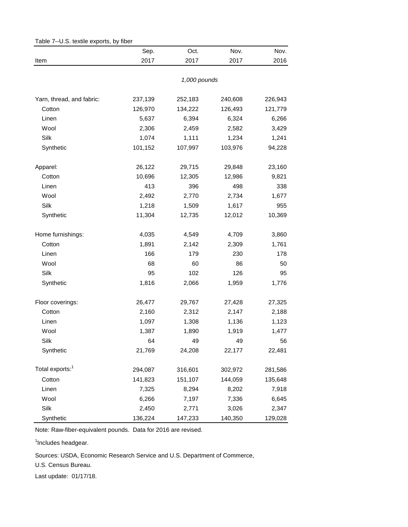<span id="page-7-0"></span>

| Table 7--U.S. textile exports, by fiber |              | Oct.         | Nov.    | Nov.    |
|-----------------------------------------|--------------|--------------|---------|---------|
| Item                                    | Sep.<br>2017 | 2017         | 2017    | 2016    |
|                                         |              |              |         |         |
|                                         |              | 1,000 pounds |         |         |
| Yarn, thread, and fabric:               | 237,139      | 252,183      | 240,608 | 226,943 |
| Cotton                                  | 126,970      | 134,222      | 126,493 | 121,779 |
| Linen                                   | 5,637        | 6,394        | 6,324   | 6,266   |
| Wool                                    | 2,306        | 2,459        | 2,582   | 3,429   |
| Silk                                    | 1,074        | 1,111        | 1,234   | 1,241   |
| Synthetic                               | 101,152      | 107,997      | 103,976 | 94,228  |
| Apparel:                                | 26,122       | 29,715       | 29,848  | 23,160  |
| Cotton                                  | 10,696       | 12,305       | 12,986  | 9,821   |
| Linen                                   | 413          | 396          | 498     | 338     |
| Wool                                    | 2,492        | 2,770        | 2,734   | 1,677   |
| Silk                                    | 1,218        | 1,509        | 1,617   | 955     |
| Synthetic                               | 11,304       | 12,735       | 12,012  | 10,369  |
| Home furnishings:                       | 4,035        | 4,549        | 4,709   | 3,860   |
| Cotton                                  | 1,891        | 2,142        | 2,309   | 1,761   |
| Linen                                   | 166          | 179          | 230     | 178     |
| Wool                                    | 68           | 60           | 86      | 50      |
| Silk                                    | 95           | 102          | 126     | 95      |
| Synthetic                               | 1,816        | 2,066        | 1,959   | 1,776   |
| Floor coverings:                        | 26,477       | 29,767       | 27,428  | 27,325  |
| Cotton                                  | 2,160        | 2,312        | 2,147   | 2,188   |
| Linen                                   | 1,097        | 1,308        | 1,136   | 1,123   |
| Wool                                    | 1,387        | 1,890        | 1,919   | 1,477   |
| Silk                                    | 64           | 49           | 49      | 56      |
| Synthetic                               | 21,769       | 24,208       | 22,177  | 22,481  |
| Total exports: <sup>1</sup>             | 294,087      | 316,601      | 302,972 | 281,586 |
| Cotton                                  | 141,823      | 151,107      | 144,059 | 135,648 |
| Linen                                   | 7,325        | 8,294        | 8,202   | 7,918   |
| Wool                                    | 6,266        | 7,197        | 7,336   | 6,645   |
| Silk                                    | 2,450        | 2,771        | 3,026   | 2,347   |
| Synthetic                               | 136,224      | 147,233      | 140,350 | 129,028 |

Note: Raw-fiber-equivalent pounds. Data for 2016 are revised.

<sup>1</sup>Includes headgear.

Sources: USDA, Economic Research Service and U.S. Department of Commerce,

U.S. Census Bureau.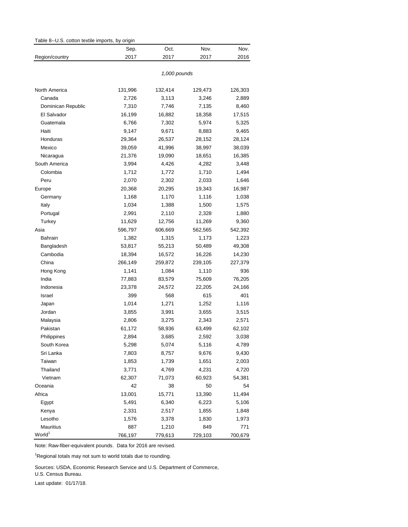<span id="page-8-0"></span>

|                    | Sep.    | Oct.    | Nov.    | Nov.    |
|--------------------|---------|---------|---------|---------|
| Region/country     | 2017    | 2017    | 2017    | 2016    |
|                    |         |         |         |         |
|                    |         |         |         |         |
| North America      | 131,996 | 132,414 | 129,473 | 126,303 |
| Canada             | 2,726   | 3,113   | 3,246   | 2,889   |
| Dominican Republic | 7,310   | 7,746   | 7,135   | 8,460   |
| El Salvador        | 16,199  | 16,882  | 18,358  | 17,515  |
| Guatemala          | 6,766   | 7,302   | 5,974   | 5,325   |
| Haiti              | 9,147   | 9,671   | 8,883   | 9,465   |
| Honduras           | 29,364  | 26,537  | 28,152  | 28,124  |
| Mexico             | 39,059  | 41,996  | 38,997  | 38,039  |
| Nicaragua          | 21,376  | 19,090  | 18,651  | 16,385  |
| South America      | 3,994   | 4,426   | 4,282   | 3,448   |
| Colombia           | 1,712   | 1,772   | 1,710   | 1,494   |
| Peru               | 2,070   | 2,302   | 2,033   | 1,646   |
| Europe             | 20,368  | 20,295  | 19,343  | 16,987  |
| Germany            | 1,168   | 1,170   | 1,116   | 1,038   |
| Italy              | 1,034   | 1,388   | 1,500   | 1,575   |
| Portugal           | 2,991   | 2,110   | 2,328   | 1,880   |
| Turkey             | 11,629  | 12,756  | 11,269  | 9,360   |
| Asia               | 596,797 | 606,669 | 562,565 | 542,392 |
| <b>Bahrain</b>     | 1,382   | 1,315   | 1,173   | 1,223   |
| Bangladesh         | 53,817  | 55,213  | 50,489  | 49,308  |
| Cambodia           | 18,394  | 16,572  | 16,226  | 14,230  |
| China              | 266,149 | 259,872 | 239,105 | 227,379 |
| Hong Kong          | 1,141   | 1,084   | 1,110   | 936     |
| India              | 77,883  | 83,579  | 75,609  | 76,205  |
| Indonesia          | 23,378  | 24,572  | 22,205  | 24,166  |
| Israel             | 399     | 568     | 615     | 401     |
| Japan              | 1,014   | 1,271   | 1,252   | 1,116   |
| Jordan             | 3,855   | 3,991   | 3,655   | 3,515   |
| Malaysia           | 2,806   | 3,275   | 2,343   | 2,571   |
| Pakistan           | 61,172  | 58,936  | 63,499  | 62,102  |
| Philippines        | 2,894   | 3,685   | 2,592   | 3,038   |
| South Korea        | 5,298   | 5,074   | 5,116   | 4,789   |
| Sri Lanka          | 7,803   | 8,757   | 9,676   | 9,430   |
| Taiwan             | 1,853   | 1,739   | 1,651   | 2,003   |
| Thailand           | 3,771   | 4,769   | 4,231   | 4,720   |
| Vietnam            | 62,307  | 71,073  | 60,923  | 54,381  |
| Oceania            | 42      | 38      | 50      | 54      |
| Africa             | 13,001  | 15,771  | 13,390  | 11,494  |
| Egypt              | 5,491   | 6,340   | 6,223   | 5,106   |
| Kenya              | 2,331   | 2,517   | 1,855   | 1,848   |
| Lesotho            | 1,576   | 3,378   | 1,830   | 1,973   |
| Mauritius          | 887     | 1,210   | 849     | 771     |
| World <sup>1</sup> | 766,197 | 779,613 | 729,103 | 700,679 |
|                    |         |         |         |         |

Note: Raw-fiber-equivalent pounds. Data for 2016 are revised.

<sup>1</sup>Regional totals may not sum to world totals due to rounding.

Sources: USDA, Economic Research Service and U.S. Department of Commerce,

U.S. Census Bureau.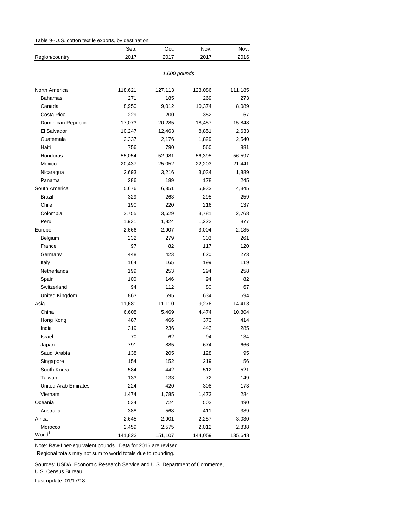<span id="page-9-0"></span>

| Table 9--U.S. cotton textile exports, by destination |              |         |         |         |  |
|------------------------------------------------------|--------------|---------|---------|---------|--|
|                                                      | Sep.         | Oct.    | Nov.    | Nov.    |  |
| Region/country                                       | 2017         | 2017    | 2017    | 2016    |  |
|                                                      | 1,000 pounds |         |         |         |  |
| North America                                        | 118,621      | 127,113 | 123,086 | 111,185 |  |
| <b>Bahamas</b>                                       | 271          | 185     | 269     | 273     |  |
| Canada                                               | 8,950        | 9,012   | 10,374  | 8,089   |  |
| Costa Rica                                           | 229          | 200     | 352     | 167     |  |
| Dominican Republic                                   | 17,073       | 20,285  | 18,457  | 15,848  |  |
| El Salvador                                          | 10,247       | 12,463  | 8,851   | 2,633   |  |
| Guatemala                                            | 2,337        | 2,176   | 1,829   | 2,540   |  |
| Haiti                                                | 756          | 790     | 560     | 881     |  |
| Honduras                                             | 55,054       | 52,981  | 56,395  | 56,597  |  |
| Mexico                                               | 20,437       | 25,052  | 22,203  | 21,441  |  |
| Nicaragua                                            | 2,693        | 3,216   | 3,034   | 1,889   |  |
| Panama                                               | 286          | 189     | 178     | 245     |  |
| South America                                        | 5,676        | 6,351   | 5,933   | 4,345   |  |
| Brazil                                               | 329          | 263     | 295     | 259     |  |
| Chile                                                | 190          | 220     | 216     | 137     |  |
| Colombia                                             | 2,755        | 3,629   | 3,781   | 2,768   |  |
| Peru                                                 | 1,931        | 1,824   | 1,222   | 877     |  |
| Europe                                               | 2,666        | 2,907   | 3,004   | 2,185   |  |
| Belgium                                              | 232          | 279     | 303     | 261     |  |
| France                                               | 97           | 82      | 117     | 120     |  |
| Germany                                              | 448          | 423     | 620     | 273     |  |
| Italy                                                | 164          | 165     | 199     | 119     |  |
| Netherlands                                          | 199          | 253     | 294     | 258     |  |
| Spain                                                | 100          | 146     | 94      | 82      |  |
| Switzerland                                          | 94           | 112     | 80      | 67      |  |
| United Kingdom                                       | 863          | 695     | 634     | 594     |  |
| Asia                                                 | 11,681       | 11,110  | 9,276   | 14,413  |  |
| China                                                | 6,608        | 5,469   | 4,474   | 10,804  |  |
| Hong Kong                                            | 487          | 466     | 373     | 414     |  |
| India                                                | 319          | 236     | 443     | 285     |  |
| Israel                                               | 70           | 62      | 94      | 134     |  |
| Japan                                                | 791          | 885     | 674     | 666     |  |
| Saudi Arabia                                         | 138          | 205     | 128     | 95      |  |
| Singapore                                            | 154          | 152     | 219     | 56      |  |
| South Korea                                          | 584          | 442     | 512     | 521     |  |
| Taiwan                                               | 133          | 133     | 72      | 149     |  |
| <b>United Arab Emirates</b>                          | 224          | 420     | 308     | 173     |  |
| Vietnam                                              | 1,474        | 1,785   | 1,473   | 284     |  |
| Oceania                                              | 534          | 724     | 502     | 490     |  |
| Australia                                            | 388          | 568     | 411     | 389     |  |
| Africa                                               | 2,645        | 2,901   | 2,257   | 3,030   |  |
| Morocco                                              | 2,459        | 2,575   | 2,012   | 2,838   |  |
| World <sup>1</sup>                                   | 141,823      | 151,107 | 144,059 | 135,648 |  |

Note: Raw-fiber-equivalent pounds. Data for 2016 are revised.

<sup>1</sup>Regional totals may not sum to world totals due to rounding.

U.S. Census Bureau. Sources: USDA, Economic Research Service and U.S. Department of Commerce,